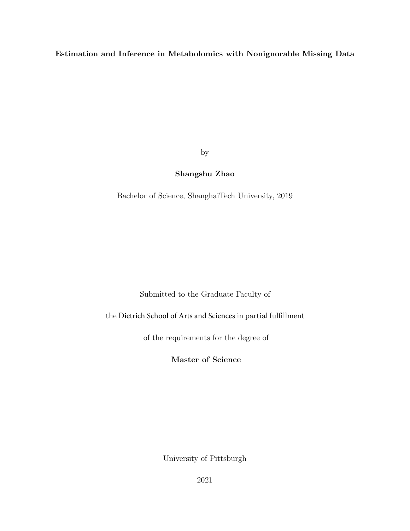Estimation and Inference in Metabolomics with Nonignorable Missing Data

by

# Shangshu Zhao

Bachelor of Science, ShanghaiTech University, 2019

Submitted to the Graduate Faculty of

the Dietrich School of Arts and Sciences in partial fulfillment

of the requirements for the degree of

Master of Science

University of Pittsburgh

2021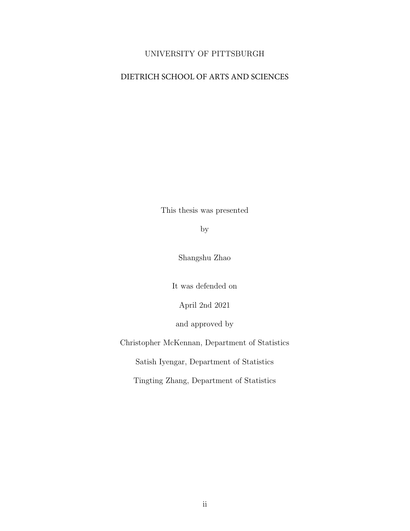# UNIVERSITY OF PITTSBURGH

# DIETRICH SCHOOL OF ARTS AND SCIENCES

This thesis was presented

by

Shangshu Zhao

It was defended on

April 2nd 2021

and approved by

Christopher McKennan, Department of Statistics

Satish Iyengar, Department of Statistics

Tingting Zhang, Department of Statistics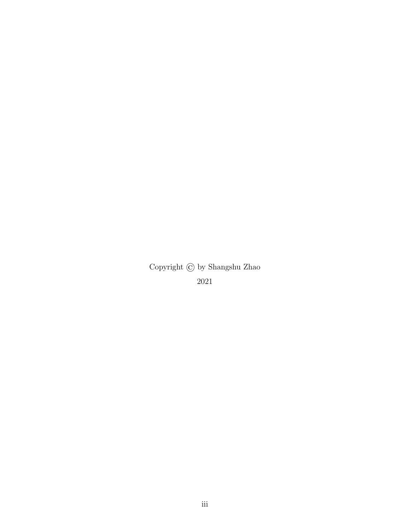Copyright © by Shangshu Zhao 2021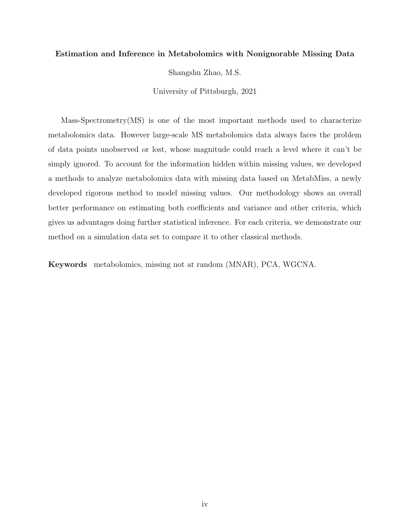#### Estimation and Inference in Metabolomics with Nonignorable Missing Data

Shangshu Zhao, M.S.

University of Pittsburgh, 2021

Mass-Spectrometry(MS) is one of the most important methods used to characterize metabolomics data. However large-scale MS metabolomics data always faces the problem of data points unobserved or lost, whose magnitude could reach a level where it can't be simply ignored. To account for the information hidden within missing values, we developed a methods to analyze metabolomics data with missing data based on MetabMiss, a newly developed rigorous method to model missing values. Our methodology shows an overall better performance on estimating both coefficients and variance and other criteria, which gives us advantages doing further statistical inference. For each criteria, we demonstrate our method on a simulation data set to compare it to other classical methods.

Keywords metabolomics, missing not at random (MNAR), PCA, WGCNA.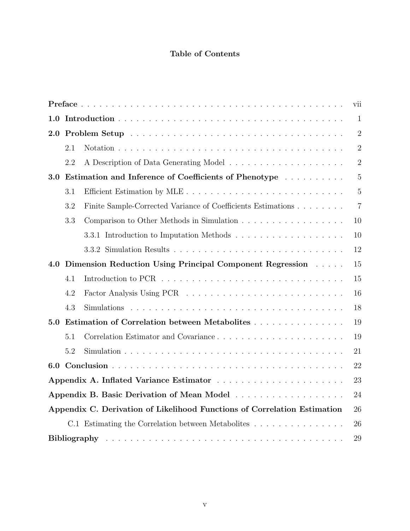# Table of Contents

| vii                                                                            |     |                                                              |                |  |
|--------------------------------------------------------------------------------|-----|--------------------------------------------------------------|----------------|--|
|                                                                                |     |                                                              | $\mathbf{1}$   |  |
|                                                                                |     |                                                              | $\overline{2}$ |  |
|                                                                                | 2.1 |                                                              | $\overline{2}$ |  |
|                                                                                | 2.2 |                                                              | $\overline{2}$ |  |
| 3.0                                                                            |     | Estimation and Inference of Coefficients of Phenotype        | 5              |  |
|                                                                                | 3.1 | Efficient Estimation by MLE                                  | $\overline{5}$ |  |
|                                                                                | 3.2 | Finite Sample-Corrected Variance of Coefficients Estimations | $\overline{7}$ |  |
|                                                                                | 3.3 |                                                              | 10             |  |
|                                                                                |     |                                                              | 10             |  |
|                                                                                |     |                                                              | 12             |  |
| 4.0                                                                            |     | Dimension Reduction Using Principal Component Regression     | 15             |  |
|                                                                                | 4.1 |                                                              | 15             |  |
|                                                                                | 4.2 |                                                              | 16             |  |
|                                                                                | 4.3 |                                                              | 18             |  |
| 5.0                                                                            |     | Estimation of Correlation between Metabolites                | 19             |  |
|                                                                                | 5.1 | Correlation Estimator and Covariance                         | 19             |  |
|                                                                                | 5.2 |                                                              | 21             |  |
| 6.0                                                                            |     |                                                              | 22             |  |
|                                                                                |     |                                                              |                |  |
|                                                                                |     |                                                              |                |  |
| Appendix C. Derivation of Likelihood Functions of Correlation Estimation<br>26 |     |                                                              |                |  |
|                                                                                |     | C.1 Estimating the Correlation between Metabolites           | 26             |  |
|                                                                                | 29  |                                                              |                |  |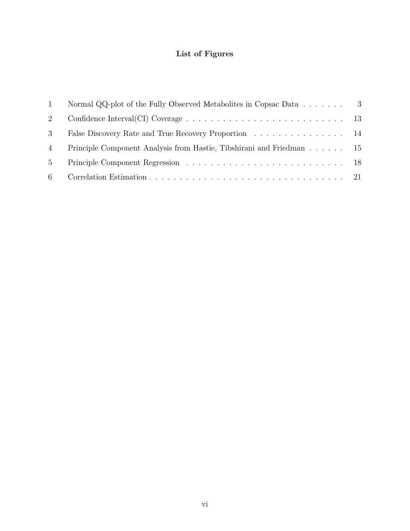# List of Figures

| 1              | Normal QQ-plot of the Fully Observed Metabolites in Copsac Data $\ldots \ldots$ 3 |  |
|----------------|-----------------------------------------------------------------------------------|--|
| 2              |                                                                                   |  |
| 3              | False Discovery Rate and True Recovery Proportion 14                              |  |
| 4              | Principle Component Analysis from Hastie, Tibshirani and Friedman 15              |  |
| 5 <sup>5</sup> |                                                                                   |  |
| -6             |                                                                                   |  |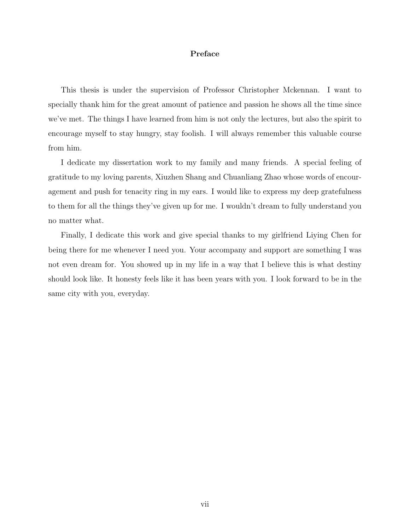## Preface

<span id="page-6-0"></span>This thesis is under the supervision of Professor Christopher Mckennan. I want to specially thank him for the great amount of patience and passion he shows all the time since we've met. The things I have learned from him is not only the lectures, but also the spirit to encourage myself to stay hungry, stay foolish. I will always remember this valuable course from him.

I dedicate my dissertation work to my family and many friends. A special feeling of gratitude to my loving parents, Xiuzhen Shang and Chuanliang Zhao whose words of encouragement and push for tenacity ring in my ears. I would like to express my deep gratefulness to them for all the things they've given up for me. I wouldn't dream to fully understand you no matter what.

Finally, I dedicate this work and give special thanks to my girlfriend Liying Chen for being there for me whenever I need you. Your accompany and support are something I was not even dream for. You showed up in my life in a way that I believe this is what destiny should look like. It honesty feels like it has been years with you. I look forward to be in the same city with you, everyday.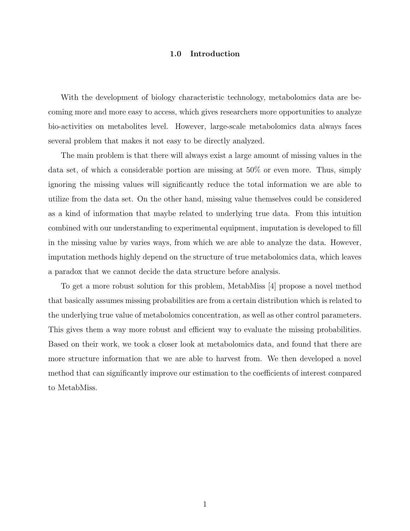#### 1.0 Introduction

<span id="page-7-0"></span>With the development of biology characteristic technology, metabolomics data are becoming more and more easy to access, which gives researchers more opportunities to analyze bio-activities on metabolites level. However, large-scale metabolomics data always faces several problem that makes it not easy to be directly analyzed.

The main problem is that there will always exist a large amount of missing values in the data set, of which a considerable portion are missing at 50% or even more. Thus, simply ignoring the missing values will significantly reduce the total information we are able to utilize from the data set. On the other hand, missing value themselves could be considered as a kind of information that maybe related to underlying true data. From this intuition combined with our understanding to experimental equipment, imputation is developed to fill in the missing value by varies ways, from which we are able to analyze the data. However, imputation methods highly depend on the structure of true metabolomics data, which leaves a paradox that we cannot decide the data structure before analysis.

To get a more robust solution for this problem, MetabMiss [\[4\]](#page-35-1) propose a novel method that basically assumes missing probabilities are from a certain distribution which is related to the underlying true value of metabolomics concentration, as well as other control parameters. This gives them a way more robust and efficient way to evaluate the missing probabilities. Based on their work, we took a closer look at metabolomics data, and found that there are more structure information that we are able to harvest from. We then developed a novel method that can significantly improve our estimation to the coefficients of interest compared to MetabMiss.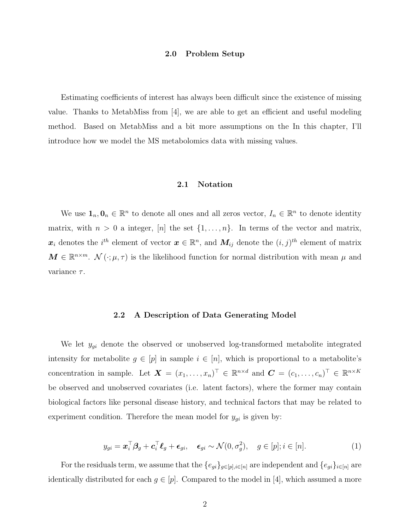#### 2.0 Problem Setup

<span id="page-8-0"></span>Estimating coefficients of interest has always been difficult since the existence of missing value. Thanks to MetabMiss from  $\vert 4 \vert$ , we are able to get an efficient and useful modeling method. Based on MetabMiss and a bit more assumptions on the In this chapter, I'll introduce how we model the MS metabolomics data with missing values.

## 2.1 Notation

<span id="page-8-1"></span>We use  $\mathbf{1}_n, \mathbf{0}_n \in \mathbb{R}^n$  to denote all ones and all zeros vector,  $I_n \in \mathbb{R}^n$  to denote identity matrix, with  $n > 0$  a integer, [n] the set  $\{1, \ldots, n\}$ . In terms of the vector and matrix,  $\boldsymbol{x}_i$  denotes the  $i^{th}$  element of vector  $\boldsymbol{x} \in \mathbb{R}^n$ , and  $\boldsymbol{M}_{ij}$  denote the  $(i, j)^{th}$  element of matrix  $\mathbf{M} \in \mathbb{R}^{n \times m}$ .  $\mathcal{N}(\cdot; \mu, \tau)$  is the likelihood function for normal distribution with mean  $\mu$  and variance  $\tau$ .

#### 2.2 A Description of Data Generating Model

<span id="page-8-2"></span>We let  $y_{gi}$  denote the observed or unobserved log-transformed metabolite integrated intensity for metabolite  $g \in [p]$  in sample  $i \in [n]$ , which is proportional to a metabolite's concentration in sample. Let  $\boldsymbol{X} = (x_1, \ldots, x_n)^\top \in \mathbb{R}^{n \times d}$  and  $\boldsymbol{C} = (c_1, \ldots, c_n)^\top \in \mathbb{R}^{n \times K}$ be observed and unobserved covariates (i.e. latent factors), where the former may contain biological factors like personal disease history, and technical factors that may be related to experiment condition. Therefore the mean model for  $y_{gi}$  is given by:

$$
y_{gi} = \boldsymbol{x}_i^{\top} \boldsymbol{\beta}_g + \boldsymbol{c}_i^{\top} \boldsymbol{\ell}_g + \boldsymbol{\epsilon}_{gi}, \quad \boldsymbol{\epsilon}_{gi} \sim \mathcal{N}(0, \sigma_g^2), \quad g \in [p]; i \in [n]. \tag{1}
$$

For the residuals term, we assume that the  $\{e_{gi}\}_{g\in [p], i\in [n]}$  are independent and  $\{e_{gi}\}_{i\in [n]}$  are identically distributed for each  $g \in [p]$ . Compared to the model in [\[4\]](#page-35-1), which assumed a more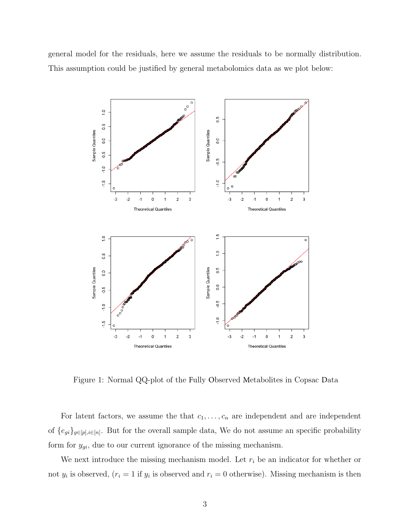general model for the residuals, here we assume the residuals to be normally distribution. This assumption could be justified by general metabolomics data as we plot below:



<span id="page-9-0"></span>Figure 1: Normal QQ-plot of the Fully Observed Metabolites in Copsac Data

For latent factors, we assume the that  $c_1, \ldots, c_n$  are independent and are independent of  $\{e_{gi}\}_{g\in[p], i\in[n]}$ . But for the overall sample data, We do not assume an specific probability form for  $y_{gi}$ , due to our current ignorance of the missing mechanism.

We next introduce the missing mechanism model. Let  $r_i$  be an indicator for whether or not  $y_i$  is observed,  $(r_i = 1$  if  $y_i$  is observed and  $r_i = 0$  otherwise). Missing mechanism is then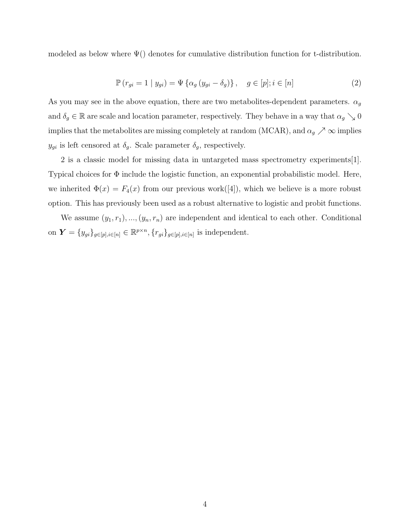<span id="page-10-0"></span>modeled as below where  $\Psi()$  denotes for cumulative distribution function for t-distribution.

$$
\mathbb{P}\left(r_{gi}=1 \mid y_{gi}\right) = \Psi\left\{\alpha_g\left(y_{gi}-\delta_g\right)\right\}, \quad g \in [p]; i \in [n] \tag{2}
$$

As you may see in the above equation, there are two metabolites-dependent parameters.  $\alpha_g$ and  $\delta_g \in \mathbb{R}$  are scale and location parameter, respectively. They behave in a way that  $\alpha_g \searrow 0$ implies that the metabolites are missing completely at random (MCAR), and  $\alpha_g \nearrow \infty$  implies  $y_{gi}$  is left censored at  $\delta_g$ . Scale parameter  $\delta_g$ , respectively.

[2](#page-10-0) is a classic model for missing data in untargeted mass spectrometry experiments[\[1\]](#page-35-2). Typical choices for Φ include the logistic function, an exponential probabilistic model. Here, we inherited  $\Phi(x) = F_4(x)$  from our previous work([\[4\]](#page-35-1)), which we believe is a more robust option. This has previously been used as a robust alternative to logistic and probit functions.

We assume  $(y_1, r_1), ..., (y_n, r_n)$  are independent and identical to each other. Conditional on  $\boldsymbol{Y} = \{y_{gi}\}_{g \in [p], i \in [n]} \in \mathbb{R}^{p \times n}, \{r_{gi}\}_{g \in [p], i \in [n]}$  is independent.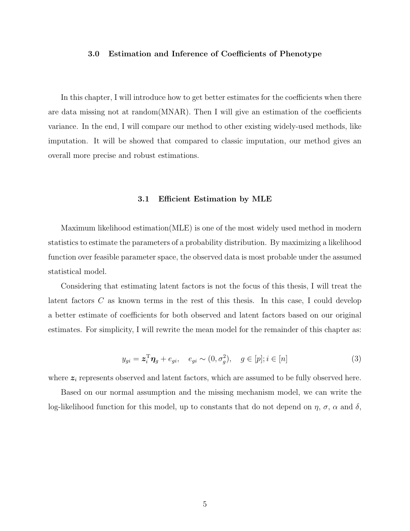#### <span id="page-11-0"></span>3.0 Estimation and Inference of Coefficients of Phenotype

In this chapter, I will introduce how to get better estimates for the coefficients when there are data missing not at random(MNAR). Then I will give an estimation of the coefficients variance. In the end, I will compare our method to other existing widely-used methods, like imputation. It will be showed that compared to classic imputation, our method gives an overall more precise and robust estimations.

#### 3.1 Efficient Estimation by MLE

<span id="page-11-1"></span>Maximum likelihood estimation(MLE) is one of the most widely used method in modern statistics to estimate the parameters of a probability distribution. By maximizing a likelihood function over feasible parameter space, the observed data is most probable under the assumed statistical model.

Considering that estimating latent factors is not the focus of this thesis, I will treat the latent factors C as known terms in the rest of this thesis. In this case, I could develop a better estimate of coefficients for both observed and latent factors based on our original estimates. For simplicity, I will rewrite the mean model for the remainder of this chapter as:

$$
y_{gi} = \mathbf{z}_i^{\mathrm{T}} \boldsymbol{\eta}_g + e_{gi}, \quad e_{gi} \sim (0, \sigma_g^2), \quad g \in [p]; i \in [n]
$$
 (3)

where  $z_i$  represents observed and latent factors, which are assumed to be fully observed here.

Based on our normal assumption and the missing mechanism model, we can write the log-likelihood function for this model, up to constants that do not depend on  $\eta$ ,  $\sigma$ ,  $\alpha$  and  $\delta$ ,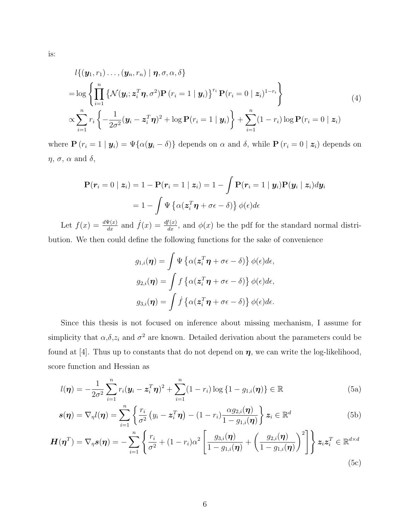is:

$$
l\{(y_1, r_1) \dots, (y_n, r_n) | \boldsymbol{\eta}, \sigma, \alpha, \delta\}
$$
  
=  $\log \left\{\prod_{i=1}^n \left\{\mathcal{N}(\mathbf{y}_i; \mathbf{z}_i^T \boldsymbol{\eta}, \sigma^2) \mathbf{P}(r_i = 1 | \mathbf{y}_i)\right\}^{r_i} \mathbf{P}(r_i = 0 | \mathbf{z}_i)^{1-r_i}\right\}$   

$$
\propto \sum_{i=1}^n r_i \left\{-\frac{1}{2\sigma^2}(\mathbf{y}_i - \mathbf{z}_i^T \boldsymbol{\eta})^2 + \log \mathbf{P}(r_i = 1 | \mathbf{y}_i)\right\} + \sum_{i=1}^n (1 - r_i) \log \mathbf{P}(r_i = 0 | \mathbf{z}_i)
$$
(4)

where  $\mathbf{P}(r_i = 1 | \mathbf{y}_i) = \Psi\{\alpha(\mathbf{y}_i - \delta)\}\)$  depends on  $\alpha$  and  $\delta$ , while  $\mathbf{P}(r_i = 0 | \mathbf{z}_i)$  depends on  $\eta$ ,  $\sigma$ ,  $\alpha$  and  $\delta$ ,

$$
\mathbf{P}(\boldsymbol{r}_i = 0 \mid \boldsymbol{z}_i) = 1 - \mathbf{P}(\boldsymbol{r}_i = 1 \mid \boldsymbol{z}_i) = 1 - \int \mathbf{P}(\boldsymbol{r}_i = 1 \mid \boldsymbol{y}_i) \mathbf{P}(\boldsymbol{y}_i \mid \boldsymbol{z}_i) d\boldsymbol{y}_i
$$

$$
= 1 - \int \Psi \left\{ \alpha(\boldsymbol{z}_i^T \boldsymbol{\eta} + \sigma \boldsymbol{\epsilon} - \delta) \right\} \phi(\boldsymbol{\epsilon}) d\boldsymbol{\epsilon}
$$

Let  $f(x) = \frac{d\Psi(x)}{dx}$  and  $\dot{f}(x) = \frac{df(x)}{dx}$ , and  $\phi(x)$  be the pdf for the standard normal distribution. We then could define the following functions for the sake of convenience

$$
g_{1,i}(\boldsymbol{\eta}) = \int \Psi \left\{ \alpha(\boldsymbol{z}_i^T \boldsymbol{\eta} + \sigma \boldsymbol{\epsilon} - \delta) \right\} \phi(\boldsymbol{\epsilon}) d\boldsymbol{\epsilon},
$$

$$
g_{2,i}(\boldsymbol{\eta}) = \int f \left\{ \alpha(\boldsymbol{z}_i^T \boldsymbol{\eta} + \sigma \boldsymbol{\epsilon} - \delta) \right\} \phi(\boldsymbol{\epsilon}) d\boldsymbol{\epsilon},
$$

$$
g_{3,i}(\boldsymbol{\eta}) = \int \dot{f} \left\{ \alpha(\boldsymbol{z}_i^T \boldsymbol{\eta} + \sigma \boldsymbol{\epsilon} - \delta) \right\} \phi(\boldsymbol{\epsilon}) d\boldsymbol{\epsilon}.
$$

Since this thesis is not focused on inference about missing mechanism, I assume for simplicity that  $\alpha, \delta, z_i$  and  $\sigma^2$  are known. Detailed derivation about the parameters could be found at [\[4\]](#page-35-1). Thus up to constants that do not depend on  $\eta$ , we can write the log-likelihood, score function and Hessian as

<span id="page-12-0"></span>
$$
l(\boldsymbol{\eta}) = -\frac{1}{2\sigma^2} \sum_{i=1}^n r_i (\boldsymbol{y}_i - \boldsymbol{z}_i^T \boldsymbol{\eta})^2 + \sum_{i=1}^n (1 - r_i) \log \{1 - g_{1,i}(\boldsymbol{\eta})\} \in \mathbb{R}
$$
(5a)

$$
\mathbf{s}(\boldsymbol{\eta}) = \nabla_{\boldsymbol{\eta}} l(\boldsymbol{\eta}) = \sum_{i=1}^{n} \left\{ \frac{r_i}{\sigma^2} \left( y_i - \boldsymbol{z}_i^T \boldsymbol{\eta} \right) - (1 - r_i) \frac{\alpha g_{2,i}(\boldsymbol{\eta})}{1 - g_{1,i}(\boldsymbol{\eta})} \right\} \boldsymbol{z}_i \in \mathbb{R}^d \tag{5b}
$$

$$
\boldsymbol{H}(\boldsymbol{\eta}^T) = \nabla_{\boldsymbol{\eta}} \boldsymbol{s}(\boldsymbol{\eta}) = -\sum_{i=1}^n \left\{ \frac{r_i}{\sigma^2} + (1 - r_i)\alpha^2 \left[ \frac{g_{3,i}(\boldsymbol{\eta})}{1 - g_{1,i}(\boldsymbol{\eta})} + \left( \frac{g_{2,i}(\boldsymbol{\eta})}{1 - g_{1,i}(\boldsymbol{\eta})} \right)^2 \right] \right\} \boldsymbol{z}_i \boldsymbol{z}_i^T \in \mathbb{R}^{d \times d}
$$
\n(5c)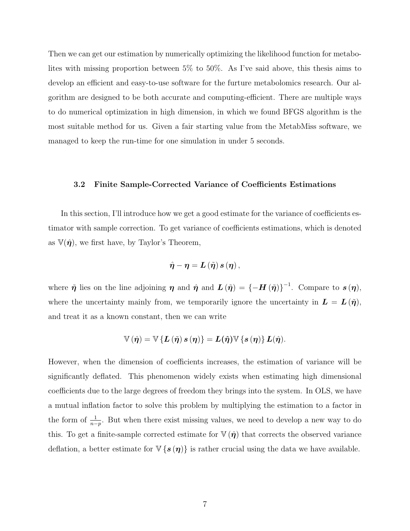Then we can get our estimation by numerically optimizing the likelihood function for metabolites with missing proportion between 5% to 50%. As I've said above, this thesis aims to develop an efficient and easy-to-use software for the furture metabolomics research. Our algorithm are designed to be both accurate and computing-efficient. There are multiple ways to do numerical optimization in high dimension, in which we found BFGS algorithm is the most suitable method for us. Given a fair starting value from the MetabMiss software, we managed to keep the run-time for one simulation in under 5 seconds.

#### <span id="page-13-0"></span>3.2 Finite Sample-Corrected Variance of Coefficients Estimations

In this section, I'll introduce how we get a good estimate for the variance of coefficients estimator with sample correction. To get variance of coefficients estimations, which is denoted as  $\mathbb{V}(\hat{\eta})$ , we first have, by Taylor's Theorem,

$$
\hat{\boldsymbol{\eta}}-\boldsymbol{\eta}=\boldsymbol{L}\left(\tilde{\boldsymbol{\eta}}\right)\boldsymbol{s}\left(\boldsymbol{\eta}\right),
$$

where  $\tilde{\eta}$  lies on the line adjoining  $\eta$  and  $\hat{\eta}$  and  $L(\tilde{\eta}) = \{-H(\tilde{\eta})\}^{-1}$ . Compare to  $s(\eta)$ , where the uncertainty mainly from, we temporarily ignore the uncertainty in  $\mathbf{L} = \mathbf{L}(\tilde{\boldsymbol{\eta}})$ , and treat it as a known constant, then we can write

$$
\mathbb{V}\left(\hat{\eta}\right) = \mathbb{V}\left\{\boldsymbol{L}\left(\tilde{\eta}\right)\boldsymbol{s}\left(\eta\right)\right\} = \boldsymbol{L}(\hat{\eta})\mathbb{V}\left\{\boldsymbol{s}\left(\eta\right)\right\}\boldsymbol{L}(\hat{\eta}).
$$

However, when the dimension of coefficients increases, the estimation of variance will be significantly deflated. This phenomenon widely exists when estimating high dimensional coefficients due to the large degrees of freedom they brings into the system. In OLS, we have a mutual inflation factor to solve this problem by multiplying the estimation to a factor in the form of  $\frac{1}{n-p}$ . But when there exist missing values, we need to develop a new way to do this. To get a finite-sample corrected estimate for  $\nabla(\hat{\eta})$  that corrects the observed variance deflation, a better estimate for  $\nabla {\bf s}({\bf r})$  is rather crucial using the data we have available.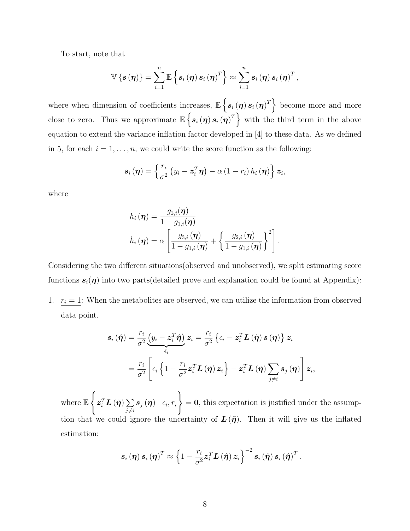To start, note that

$$
\mathbb{V}\left\{\boldsymbol{s}\left(\boldsymbol{\eta}\right)\right\}=\sum_{i=1}^{n}\mathbb{E}\left\{\boldsymbol{s}_{i}\left(\boldsymbol{\eta}\right)\boldsymbol{s}_{i}\left(\boldsymbol{\eta}\right)^{T}\right\}\approx\sum_{i=1}^{n}\boldsymbol{s}_{i}\left(\boldsymbol{\eta}\right)\boldsymbol{s}_{i}\left(\boldsymbol{\eta}\right)^{T},
$$

where when dimension of coefficients increases,  $\mathbb{E}\left\{\boldsymbol{s}_{i}\left(\boldsymbol{\eta}\right)\boldsymbol{s}_{i}\left(\boldsymbol{\eta}\right)^{T}\right\}$  become more and more close to zero. Thus we approximate  $\mathbb{E}\left\{s_i(\eta)s_i(\eta)^T\right\}$  with the third term in the above equation to extend the variance inflation factor developed in [\[4\]](#page-35-1) to these data. As we defined in [5,](#page-12-0) for each  $i = 1, \ldots, n$ , we could write the score function as the following:

$$
\boldsymbol{s}_{i}\left(\boldsymbol{\eta}\right)=\left\{ \frac{r_{i}}{\sigma^{2}}\left(y_{i}-\boldsymbol{z}_{i}^{T}\boldsymbol{\eta}\right)-\alpha\left(1-r_{i}\right)h_{i}\left(\boldsymbol{\eta}\right)\right\} \boldsymbol{z}_{i},
$$

where

$$
h_i(\boldsymbol{\eta}) = \frac{g_{2,i}(\boldsymbol{\eta})}{1 - g_{1,i}(\boldsymbol{\eta})}
$$

$$
\dot{h}_i(\boldsymbol{\eta}) = \alpha \left[ \frac{g_{3,i}(\boldsymbol{\eta})}{1 - g_{1,i}(\boldsymbol{\eta})} + \left\{ \frac{g_{2,i}(\boldsymbol{\eta})}{1 - g_{1,i}(\boldsymbol{\eta})} \right\}^2 \right].
$$

Considering the two different situations(observed and unobserved), we split estimating score functions  $s_i(\eta)$  into two parts(detailed prove and explanation could be found at Appendix):

1.  $r_i = 1$ : When the metabolites are observed, we can utilize the information from observed data point.

$$
\mathbf{s}_{i}(\hat{\boldsymbol{\eta}}) = \frac{r_{i}}{\sigma^{2}} \underbrace{\left(y_{i} - z_{i}^{T} \hat{\boldsymbol{\eta}}\right)}_{\hat{\epsilon}_{i}} \mathbf{z}_{i} = \frac{r_{i}}{\sigma^{2}} \left\{\epsilon_{i} - z_{i}^{T} \mathbf{L} \left(\tilde{\boldsymbol{\eta}}\right) \mathbf{s} \left(\boldsymbol{\eta}\right)\right\} \mathbf{z}_{i}
$$
\n
$$
= \frac{r_{i}}{\sigma^{2}} \left[\epsilon_{i} \left\{1 - \frac{r_{i}}{\sigma^{2}} z_{i}^{T} \mathbf{L} \left(\tilde{\boldsymbol{\eta}}\right) \mathbf{z}_{i}\right\} - z_{i}^{T} \mathbf{L} \left(\tilde{\boldsymbol{\eta}}\right) \sum_{j \neq i} \mathbf{s}_{j} \left(\boldsymbol{\eta}\right)\right] \mathbf{z}_{i},
$$

where E  $\int$  $\pmb{z}_i^T \pmb{L}\left(\tilde{\pmb{\eta}}\right) \sum$  $j\neq i$  $\bm{s}_{j}\left(\bm{\eta}\right) \mid \epsilon_{i}, r_{i}$ )  $= 0$ , this expectation is justified under the assumption that we could ignore the uncertainty of  $\mathbf{L}(\tilde{\boldsymbol{\eta}})$ . Then it will give us the inflated estimation:

$$
\boldsymbol{s}_{i}\left(\boldsymbol{\eta}\right)\boldsymbol{s}_{i}\left(\boldsymbol{\eta}\right)^{T}\approx\left\{ 1-\frac{r_{i}}{\sigma^{2}}\boldsymbol{z}_{i}^{T}\boldsymbol{L}\left(\hat{\boldsymbol{\eta}}\right)\boldsymbol{z}_{i}\right\} ^{-2}\boldsymbol{s}_{i}\left(\hat{\boldsymbol{\eta}}\right)\boldsymbol{s}_{i}\left(\hat{\boldsymbol{\eta}}\right)^{T}.
$$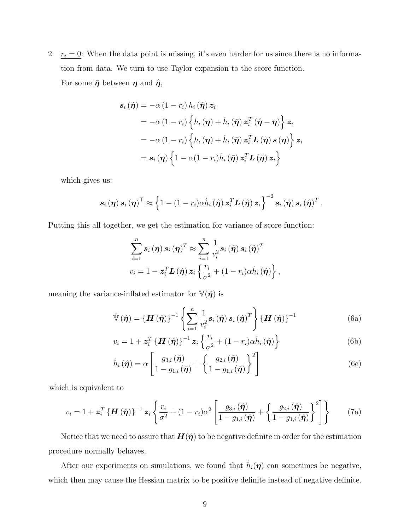2.  $r_i = 0$ : When the data point is missing, it's even harder for us since there is no information from data. We turn to use Taylor expansion to the score function. For some  $\bar{\eta}$  between  $\eta$  and  $\hat{\eta}$ ,

$$
\begin{aligned} \mathbf{s}_{i} \left( \hat{\boldsymbol{\eta}} \right) &= -\alpha \left( 1 - r_{i} \right) h_{i} \left( \hat{\boldsymbol{\eta}} \right) \boldsymbol{z}_{i} \\ &= -\alpha \left( 1 - r_{i} \right) \left\{ h_{i} \left( \boldsymbol{\eta} \right) + \dot{h}_{i} \left( \bar{\boldsymbol{\eta}} \right) \boldsymbol{z}_{i}^{T} \left( \hat{\boldsymbol{\eta}} - \boldsymbol{\eta} \right) \right\} \boldsymbol{z}_{i} \\ &= -\alpha \left( 1 - r_{i} \right) \left\{ h_{i} \left( \boldsymbol{\eta} \right) + \dot{h}_{i} \left( \bar{\boldsymbol{\eta}} \right) \boldsymbol{z}_{i}^{T} \boldsymbol{L} \left( \tilde{\boldsymbol{\eta}} \right) \boldsymbol{s} \left( \boldsymbol{\eta} \right) \right\} \boldsymbol{z}_{i} \\ &= \boldsymbol{s}_{i} \left( \boldsymbol{\eta} \right) \left\{ 1 - \alpha \left( 1 - r_{i} \right) \dot{h}_{i} \left( \bar{\boldsymbol{\eta}} \right) \boldsymbol{z}_{i}^{T} \boldsymbol{L} \left( \tilde{\boldsymbol{\eta}} \right) \boldsymbol{z}_{i} \right\} \end{aligned}
$$

which gives us:

$$
\boldsymbol{s}_{i}(\boldsymbol{\eta})\,\boldsymbol{s}_{i}(\boldsymbol{\eta})^{\top}\approx\left\{1-(1-r_{i})\alpha\dot{h}_{i}\left(\hat{\boldsymbol{\eta}}\right)\boldsymbol{z}_{i}^{T}\boldsymbol{L}\left(\hat{\boldsymbol{\eta}}\right)\boldsymbol{z}_{i}\right\}^{-2}\boldsymbol{s}_{i}\left(\hat{\boldsymbol{\eta}}\right)\boldsymbol{s}_{i}\left(\hat{\boldsymbol{\eta}}\right)^{T}.
$$

Putting this all together, we get the estimation for variance of score function:

$$
\sum_{i=1}^{n} \boldsymbol{s}_{i}(\boldsymbol{\eta}) \, \boldsymbol{s}_{i}(\boldsymbol{\eta})^{T} \approx \sum_{i=1}^{n} \frac{1}{v_{i}^{2}} \boldsymbol{s}_{i}(\hat{\boldsymbol{\eta}}) \, \boldsymbol{s}_{i}(\hat{\boldsymbol{\eta}})^{T}
$$
\n
$$
v_{i} = 1 - \boldsymbol{z}_{i}^{T} \boldsymbol{L}(\hat{\boldsymbol{\eta}}) \, \boldsymbol{z}_{i} \left\{ \frac{r_{i}}{\sigma^{2}} + (1 - r_{i}) \alpha \dot{h}_{i}(\hat{\boldsymbol{\eta}}) \right\},
$$

meaning the variance-inflated estimator for  $\mathbb{V}(\hat{\eta})$  is

$$
\hat{\mathbb{V}}\left(\hat{\boldsymbol{\eta}}\right) = \left\{\boldsymbol{H}\left(\hat{\boldsymbol{\eta}}\right)\right\}^{-1} \left\{\sum_{i=1}^{n} \frac{1}{v_i^2} \boldsymbol{s}_i\left(\hat{\boldsymbol{\eta}}\right) \boldsymbol{s}_i\left(\hat{\boldsymbol{\eta}}\right)^T\right\} \left\{\boldsymbol{H}\left(\hat{\boldsymbol{\eta}}\right)\right\}^{-1} \tag{6a}
$$

$$
v_i = 1 + \mathbf{z}_i^T \left\{ \mathbf{H}(\hat{\boldsymbol{\eta}}) \right\}^{-1} \mathbf{z}_i \left\{ \frac{r_i}{\sigma^2} + (1 - r_i) \alpha \dot{h}_i(\hat{\boldsymbol{\eta}}) \right\}
$$
(6b)

$$
\dot{h}_i\left(\hat{\boldsymbol{\eta}}\right) = \alpha \left[ \frac{g_{3,i}\left(\hat{\boldsymbol{\eta}}\right)}{1 - g_{1,i}\left(\hat{\boldsymbol{\eta}}\right)} + \left\{ \frac{g_{2,i}\left(\hat{\boldsymbol{\eta}}\right)}{1 - g_{1,i}\left(\hat{\boldsymbol{\eta}}\right)} \right\}^2 \right]
$$
(6c)

which is equivalent to

$$
v_i = 1 + \boldsymbol{z}_i^T \left\{ \boldsymbol{H} \left( \hat{\boldsymbol{\eta}} \right) \right\}^{-1} \boldsymbol{z}_i \left\{ \frac{r_i}{\sigma^2} + (1 - r_i) \alpha^2 \left[ \frac{g_{3,i} \left( \hat{\boldsymbol{\eta}} \right)}{1 - g_{1,i} \left( \hat{\boldsymbol{\eta}} \right)} + \left\{ \frac{g_{2,i} \left( \hat{\boldsymbol{\eta}} \right)}{1 - g_{1,i} \left( \hat{\boldsymbol{\eta}} \right)} \right\}^2 \right] \right\} \tag{7a}
$$

Notice that we need to assure that  $H(\hat{\eta})$  to be negative definite in order for the estimation procedure normally behaves.

After our experiments on simulations, we found that  $\dot{h}_i(\eta)$  can sometimes be negative, which then may cause the Hessian matrix to be positive definite instead of negative definite.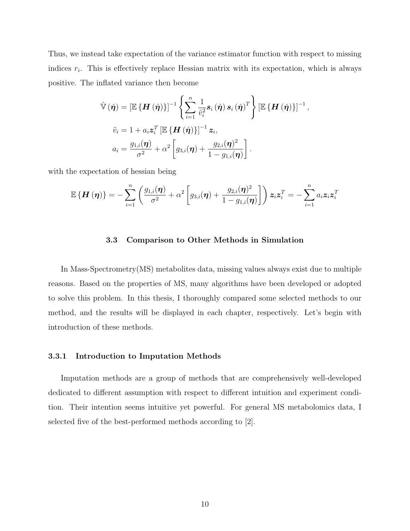Thus, we instead take expectation of the variance estimator function with respect to missing indices  $r_i$ . This is effectively replace Hessian matrix with its expectation, which is always positive. The inflated variance then become

$$
\hat{\mathbb{V}}\left(\hat{\boldsymbol{\eta}}\right) = \left[\mathbb{E}\left\{\boldsymbol{H}\left(\hat{\boldsymbol{\eta}}\right)\right\}\right]^{-1} \left\{\sum_{i=1}^{n} \frac{1}{\tilde{v}_{i}^{2}} \boldsymbol{s}_{i}\left(\hat{\boldsymbol{\eta}}\right) \boldsymbol{s}_{i}\left(\hat{\boldsymbol{\eta}}\right)^{T}\right\} \left[\mathbb{E}\left\{\boldsymbol{H}\left(\hat{\boldsymbol{\eta}}\right)\right\}\right]^{-1},
$$
\n
$$
\tilde{v}_{i} = 1 + a_{i} \boldsymbol{z}_{i}^{T} \left[\mathbb{E}\left\{\boldsymbol{H}\left(\hat{\boldsymbol{\eta}}\right)\right\}\right]^{-1} \boldsymbol{z}_{i},
$$
\n
$$
a_{i} = \frac{g_{1,i}(\boldsymbol{\eta})}{\sigma^{2}} + \alpha^{2} \left[g_{3,i}(\boldsymbol{\eta}) + \frac{g_{2,i}(\boldsymbol{\eta})^{2}}{1 - g_{1,i}(\boldsymbol{\eta})}\right].
$$

with the expectation of hessian being

$$
\mathbb{E}\left\{\boldsymbol{H}\left(\boldsymbol{\eta}\right)\right\}=-\sum_{i=1}^{n}\left(\frac{g_{1,i}(\boldsymbol{\eta})}{\sigma^2}+\alpha^2\left[g_{3,i}(\boldsymbol{\eta})+\frac{g_{2,i}(\boldsymbol{\eta})^2}{1-g_{1,i}(\boldsymbol{\eta})}\right]\right)\boldsymbol{z}_i\boldsymbol{z}_i^T=-\sum_{i=1}^{n}a_i\boldsymbol{z}_i\boldsymbol{z}_i^T
$$

#### 3.3 Comparison to Other Methods in Simulation

<span id="page-16-0"></span>In Mass-Spectrometry(MS) metabolites data, missing values always exist due to multiple reasons. Based on the properties of MS, many algorithms have been developed or adopted to solve this problem. In this thesis, I thoroughly compared some selected methods to our method, and the results will be displayed in each chapter, respectively. Let's begin with introduction of these methods.

#### <span id="page-16-1"></span>3.3.1 Introduction to Imputation Methods

Imputation methods are a group of methods that are comprehensively well-developed dedicated to different assumption with respect to different intuition and experiment condition. Their intention seems intuitive yet powerful. For general MS metabolomics data, I selected five of the best-performed methods according to [\[2\]](#page-35-3).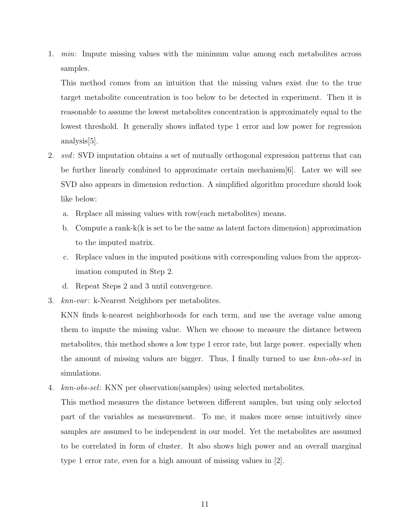1. min: Impute missing values with the minimum value among each metabolites across samples.

This method comes from an intuition that the missing values exist due to the true target metabolite concentration is too below to be detected in experiment. Then it is reasonable to assume the lowest metabolites concentration is approximately equal to the lowest threshold. It generally shows inflated type 1 error and low power for regression analysis[\[5\]](#page-35-4).

- 2. svd: SVD imputation obtains a set of mutually orthogonal expression patterns that can be further linearly combined to approximate certain mechanism[\[6\]](#page-35-5). Later we will see SVD also appears in dimension reduction. A simplified algorithm procedure should look like below:
	- a. Replace all missing values with row(each metabolites) means.
	- b. Compute a rank-k(k is set to be the same as latent factors dimension) approximation to the imputed matrix.
	- c. Replace values in the imputed positions with corresponding values from the approximation computed in Step 2.
	- d. Repeat Steps 2 and 3 until convergence.
- 3. knn-var: k-Nearest Neighbors per metabolites.

KNN finds k-nearest neighborhoods for each term, and use the average value among them to impute the missing value. When we choose to measure the distance between metabolites, this method shows a low type 1 error rate, but large power. especially when the amount of missing values are bigger. Thus, I finally turned to use knn-obs-sel in simulations.

4. knn-obs-sel: KNN per observation(samples) using selected metabolites.

This method measures the distance between different samples, but using only selected part of the variables as measurement. To me, it makes more sense intuitively since samples are assumed to be independent in our model. Yet the metabolites are assumed to be correlated in form of cluster. It also shows high power and an overall marginal type 1 error rate, even for a high amount of missing values in [\[2\]](#page-35-3).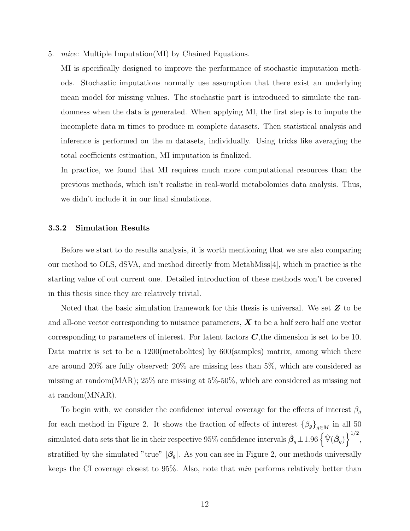5. mice: Multiple Imputation(MI) by Chained Equations.

MI is specifically designed to improve the performance of stochastic imputation methods. Stochastic imputations normally use assumption that there exist an underlying mean model for missing values. The stochastic part is introduced to simulate the randomness when the data is generated. When applying MI, the first step is to impute the incomplete data m times to produce m complete datasets. Then statistical analysis and inference is performed on the m datasets, individually. Using tricks like averaging the total coefficients estimation, MI imputation is finalized.

In practice, we found that MI requires much more computational resources than the previous methods, which isn't realistic in real-world metabolomics data analysis. Thus, we didn't include it in our final simulations.

#### <span id="page-18-0"></span>3.3.2 Simulation Results

Before we start to do results analysis, it is worth mentioning that we are also comparing our method to OLS, dSVA, and method directly from MetabMiss[\[4\]](#page-35-1), which in practice is the starting value of out current one. Detailed introduction of these methods won't be covered in this thesis since they are relatively trivial.

Noted that the basic simulation framework for this thesis is universal. We set  $Z$  to be and all-one vector corresponding to nuisance parameters,  $\boldsymbol{X}$  to be a half zero half one vector corresponding to parameters of interest. For latent factors  $C$ , the dimension is set to be 10. Data matrix is set to be a 1200 (metabolities) by 600 (samples) matrix, among which there are around 20% are fully observed; 20% are missing less than 5%, which are considered as missing at random(MAR); 25% are missing at 5%-50%, which are considered as missing not at random(MNAR).

To begin with, we consider the confidence interval coverage for the effects of interest  $\beta_g$ for each method in Figure [2.](#page-19-0) It shows the fraction of effects of interest  $\{\beta_g\}_{g\in M}$  in all 50 simulated data sets that lie in their respective 95% confidence intervals  $\hat{\beta}_g \pm 1.96 \left\{\hat{\mathbb{V}}(\hat{\beta}_g)\right\}^{1/2}$ , stratified by the simulated "true"  $|\beta_g|$ . As you can see in Figure [2,](#page-19-0) our methods universally keeps the CI coverage closest to 95%. Also, note that min performs relatively better than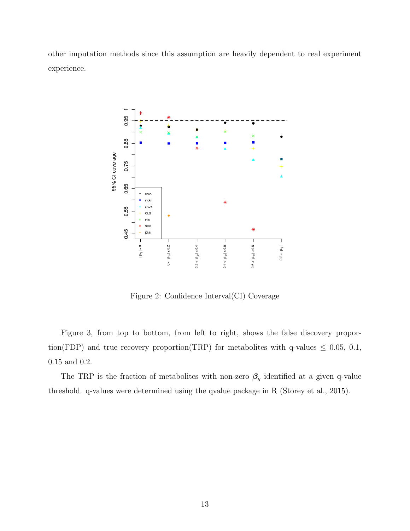other imputation methods since this assumption are heavily dependent to real experiment experience.



<span id="page-19-0"></span>Figure 2: Confidence Interval(CI) Coverage

Figure [3,](#page-20-0) from top to bottom, from left to right, shows the false discovery proportion(FDP) and true recovery proportion(TRP) for metabolites with q-values  $\leq 0.05, 0.1$ , 0.15 and 0.2.

The TRP is the fraction of metabolites with non-zero  $\beta_g$  identified at a given q-value threshold. q-values were determined using the qvalue package in R (Storey et al., 2015).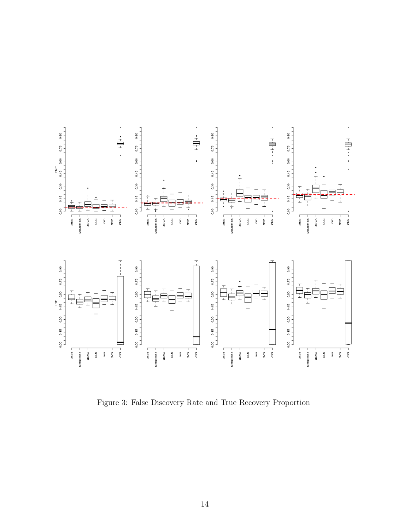

<span id="page-20-0"></span>Figure 3: False Discovery Rate and True Recovery Proportion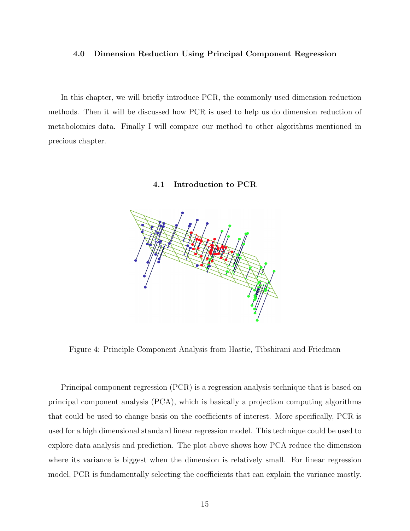#### <span id="page-21-0"></span>4.0 Dimension Reduction Using Principal Component Regression

In this chapter, we will briefly introduce PCR, the commonly used dimension reduction methods. Then it will be discussed how PCR is used to help us do dimension reduction of metabolomics data. Finally I will compare our method to other algorithms mentioned in precious chapter.

## 4.1 Introduction to PCR

<span id="page-21-1"></span>

<span id="page-21-2"></span>Figure 4: Principle Component Analysis from Hastie, Tibshirani and Friedman

Principal component regression (PCR) is a regression analysis technique that is based on principal component analysis (PCA), which is basically a projection computing algorithms that could be used to change basis on the coefficients of interest. More specifically, PCR is used for a high dimensional standard linear regression model. This technique could be used to explore data analysis and prediction. The plot above shows how PCA reduce the dimension where its variance is biggest when the dimension is relatively small. For linear regression model, PCR is fundamentally selecting the coefficients that can explain the variance mostly.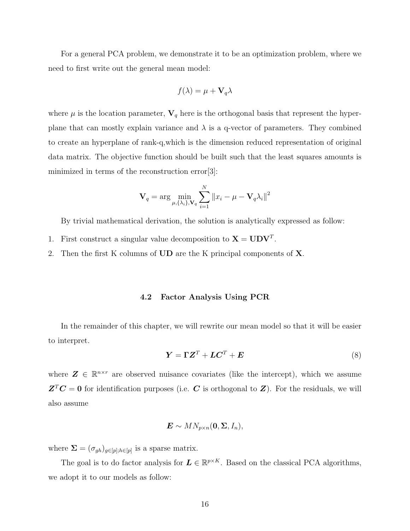For a general PCA problem, we demonstrate it to be an optimization problem, where we need to first write out the general mean model:

$$
f(\lambda) = \mu + \mathbf{V}_q \lambda
$$

where  $\mu$  is the location parameter,  $\mathbf{V}_q$  here is the orthogonal basis that represent the hyperplane that can mostly explain variance and  $\lambda$  is a q-vector of parameters. They combined to create an hyperplane of rank-q,which is the dimension reduced representation of original data matrix. The objective function should be built such that the least squares amounts is minimized in terms of the reconstruction error [\[3\]](#page-35-6):

$$
\mathbf{V}_q = \arg \min_{\mu, \{\lambda_i\}, \mathbf{V}_q} \sum_{i=1}^N ||x_i - \mu - \mathbf{V}_q \lambda_i||^2
$$

By trivial mathematical derivation, the solution is analytically expressed as follow:

- 1. First construct a singular value decomposition to  $X = UDV^T$ .
- <span id="page-22-0"></span>2. Then the first K columns of UD are the K principal components of X.

#### 4.2 Factor Analysis Using PCR

In the remainder of this chapter, we will rewrite our mean model so that it will be easier to interpret.

$$
\boldsymbol{Y} = \boldsymbol{\Gamma} \boldsymbol{Z}^T + \boldsymbol{L} \boldsymbol{C}^T + \boldsymbol{E} \tag{8}
$$

where  $\mathbf{Z} \in \mathbb{R}^{n \times r}$  are observed nuisance covariates (like the intercept), which we assume  $Z^T C = 0$  for identification purposes (i.e. C is orthogonal to Z). For the residuals, we will also assume

$$
\boldsymbol{E} \sim MN_{p\times n}(\boldsymbol{0}, \boldsymbol{\Sigma}, I_n),
$$

where  $\Sigma = (\sigma_{gh})_{g \in [p], h \in [p]}$  is a sparse matrix.

The goal is to do factor analysis for  $\mathbf{L} \in \mathbb{R}^{p \times K}$ . Based on the classical PCA algorithms, we adopt it to our models as follow: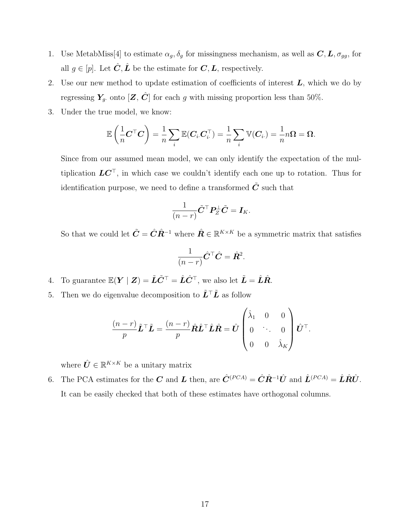- 1. Use MetabMiss[\[4\]](#page-35-1) to estimate  $\alpha_g$ ,  $\delta_g$  for missingness mechanism, as well as  $C, L, \sigma_{gg}$ , for all  $g \in [p]$ . Let  $\hat{C}, \hat{L}$  be the estimate for  $C, L$ , respectively.
- 2. Use our new method to update estimation of coefficients of interest  $L$ , which we do by regressing  $Y_g$  onto  $[\mathbf{Z}, \hat{\mathbf{C}}]$  for each g with missing proportion less than 50%.
- 3. Under the true model, we know:

$$
\mathbb{E}\left(\frac{1}{n}\mathbf{C}^\top \mathbf{C}\right) = \frac{1}{n}\sum_i \mathbb{E}(\mathbf{C}_i \mathbf{C}_i^\top) = \frac{1}{n}\sum_i \mathbb{V}(\mathbf{C}_i) = \frac{1}{n}n\Omega = \Omega.
$$

Since from our assumed mean model, we can only identify the expectation of the multiplication  $LC^{\top}$ , in which case we couldn't identify each one up to rotation. Thus for identification purpose, we need to define a transformed  $\tilde{C}$  such that

$$
\frac{1}{(n-r)}\tilde{\mathbf{C}}^{\top}\mathbf{P}_{Z}^{\perp}\tilde{\mathbf{C}}=\mathbf{I}_{K}.
$$

So that we could let  $\tilde{C} = \hat{C} \hat{R}^{-1}$  where  $\hat{R} \in \mathbb{R}^{K \times K}$  be a symmetric matrix that satisfies

$$
\frac{1}{(n-r)}\hat{\mathbf{C}}^{\top}\hat{\mathbf{C}} = \hat{\mathbf{R}}^2.
$$

- 4. To guarantee  $\mathbb{E}(\boldsymbol{Y} \mid \boldsymbol{Z}) = \tilde{\boldsymbol{L}} \tilde{\boldsymbol{C}}^{\top} = \hat{\boldsymbol{L}} \hat{\boldsymbol{C}}^{\top}$ , we also let  $\tilde{\boldsymbol{L}} = \hat{\boldsymbol{L}} \hat{\boldsymbol{R}}$ .
- 5. Then we do eigenvalue decomposition to  $\tilde{L}^\top \tilde{L}$  as follow

$$
\frac{(n-r)}{p}\tilde{\boldsymbol{L}}^{\top}\tilde{\boldsymbol{L}} = \frac{(n-r)}{p}\hat{\boldsymbol{R}}\hat{\boldsymbol{L}}^{\top}\hat{\boldsymbol{L}}\hat{\boldsymbol{R}} = \hat{\boldsymbol{U}}\begin{pmatrix} \hat{\lambda}_{1} & 0 & 0 \\ 0 & \ddots & 0 \\ 0 & 0 & \hat{\lambda}_{K} \end{pmatrix} \hat{\boldsymbol{U}}^{\top}.
$$

where  $\hat{U} \in \mathbb{R}^{K \times K}$  be a unitary matrix

6. The PCA estimates for the C and L then, are  $\hat{C}^{(PCA)} = \hat{C}\hat{R}^{-1}\hat{U}$  and  $\hat{L}^{(PCA)} = \hat{L}\hat{R}\hat{U}$ . It can be easily checked that both of these estimates have orthogonal columns.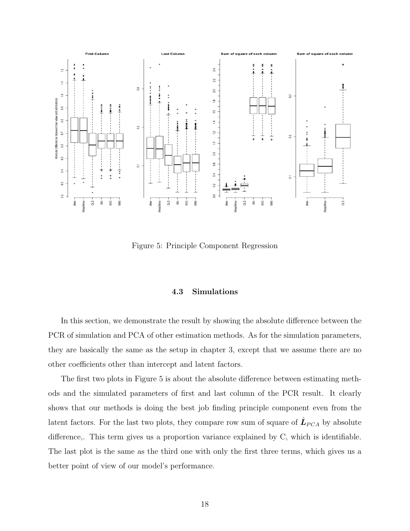

<span id="page-24-1"></span>Figure 5: Principle Component Regression

# 4.3 Simulations

<span id="page-24-0"></span>In this section, we demonstrate the result by showing the absolute difference between the PCR of simulation and PCA of other estimation methods. As for the simulation parameters, they are basically the same as the setup in chapter [3,](#page-11-0) except that we assume there are no other coefficients other than intercept and latent factors.

The first two plots in Figure [5](#page-24-1) is about the absolute difference between estimating methods and the simulated parameters of first and last column of the PCR result. It clearly shows that our methods is doing the best job finding principle component even from the latent factors. For the last two plots, they compare row sum of square of  $\hat{\mathbf{L}}_{PCA}$  by absolute difference,. This term gives us a proportion variance explained by C, which is identifiable. The last plot is the same as the third one with only the first three terms, which gives us a better point of view of our model's performance.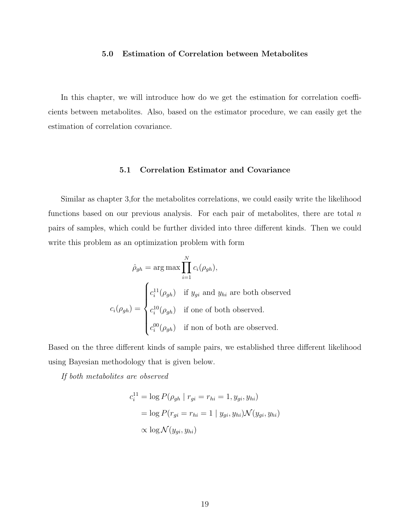## 5.0 Estimation of Correlation between Metabolites

<span id="page-25-0"></span>In this chapter, we will introduce how do we get the estimation for correlation coefficients between metabolites. Also, based on the estimator procedure, we can easily get the estimation of correlation covariance.

# 5.1 Correlation Estimator and Covariance

<span id="page-25-1"></span>Similar as chapter [3,](#page-11-0)for the metabolites correlations, we could easily write the likelihood functions based on our previous analysis. For each pair of metabolites, there are total  $n$ pairs of samples, which could be further divided into three different kinds. Then we could write this problem as an optimization problem with form

$$
\hat{\rho}_{gh} = \arg \max \prod_{i=1}^{N} c_i(\rho_{gh}),
$$

$$
c_i(\rho_{gh}) = \begin{cases} c_i^{11}(\rho_{gh}) & \text{if } y_{gi} \text{ and } y_{hi} \text{ are both observed} \\ c_i^{10}(\rho_{gh}) & \text{if one of both observed.} \\ c_i^{00}(\rho_{gh}) & \text{if non of both are observed.} \end{cases}
$$

Based on the three different kinds of sample pairs, we established three different likelihood using Bayesian methodology that is given below.

If both metabolites are observed

$$
c_i^{11} = \log P(\rho_{gh} \mid r_{gi} = r_{hi} = 1, y_{gi}, y_{hi})
$$

$$
= \log P(r_{gi} = r_{hi} = 1 \mid y_{gi}, y_{hi}) \mathcal{N}(y_{gi}, y_{hi})
$$

$$
\propto \log \mathcal{N}(y_{gi}, y_{hi})
$$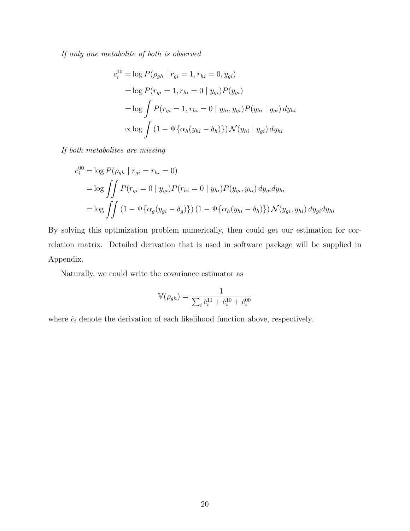If only one metabolite of both is observed

$$
c_i^{10} = \log P(\rho_{gh} \mid r_{gi} = 1, r_{hi} = 0, y_{gi})
$$
  
= log  $P(r_{gi} = 1, r_{hi} = 0 \mid y_{gi}) P(y_{gi})$   
= log  $\int P(r_{gi} = 1, r_{hi} = 0 \mid y_{hi}, y_{gi}) P(y_{hi} \mid y_{gi}) dy_{hi}$   
 $\propto$  log  $\int (1 - \Psi{\alpha_h(y_{hi} - \delta_h)}) \mathcal{N}(y_{hi} \mid y_{gi}) dy_{hi}$ 

If both metabolites are missing

$$
c_i^{00} = \log P(\rho_{gh} \mid r_{gi} = r_{hi} = 0)
$$
  
= 
$$
\log \iint P(r_{gi} = 0 \mid y_{gi}) P(r_{hi} = 0 \mid y_{hi}) P(y_{gi}, y_{hi}) dy_{gi} dy_{hi}
$$
  
= 
$$
\log \iint (1 - \Psi\{\alpha_g(y_{gi} - \delta_g)\}) (1 - \Psi\{\alpha_h(y_{hi} - \delta_h)\}) \mathcal{N}(y_{gi}, y_{hi}) dy_{gi} dy_{hi}
$$

By solving this optimization problem numerically, then could get our estimation for correlation matrix. Detailed derivation that is used in software package will be supplied in Appendix.

Naturally, we could write the covariance estimator as

$$
\mathbb{V}(\rho_{gh}) = \frac{1}{\sum_{i} \dot{c}_{i}^{11} + \dot{c}_{i}^{10} + \dot{c}_{i}^{00}}
$$

where  $\dot{c}_i$  denote the derivation of each likelihood function above, respectively.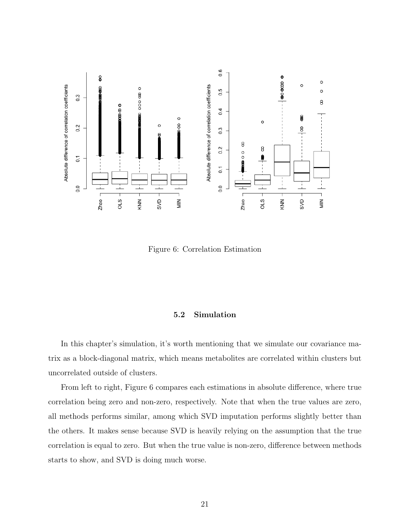

<span id="page-27-1"></span>Figure 6: Correlation Estimation

# 5.2 Simulation

<span id="page-27-0"></span>In this chapter's simulation, it's worth mentioning that we simulate our covariance matrix as a block-diagonal matrix, which means metabolites are correlated within clusters but uncorrelated outside of clusters.

From left to right, Figure [6](#page-27-1) compares each estimations in absolute difference, where true correlation being zero and non-zero, respectively. Note that when the true values are zero, all methods performs similar, among which SVD imputation performs slightly better than the others. It makes sense because SVD is heavily relying on the assumption that the true correlation is equal to zero. But when the true value is non-zero, difference between methods starts to show, and SVD is doing much worse.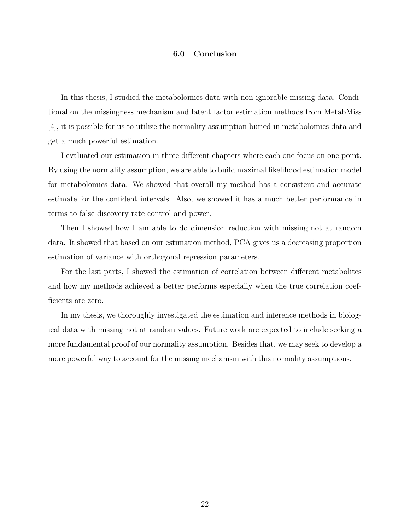# 6.0 Conclusion

<span id="page-28-0"></span>In this thesis, I studied the metabolomics data with non-ignorable missing data. Conditional on the missingness mechanism and latent factor estimation methods from MetabMiss [\[4\]](#page-35-1), it is possible for us to utilize the normality assumption buried in metabolomics data and get a much powerful estimation.

I evaluated our estimation in three different chapters where each one focus on one point. By using the normality assumption, we are able to build maximal likelihood estimation model for metabolomics data. We showed that overall my method has a consistent and accurate estimate for the confident intervals. Also, we showed it has a much better performance in terms to false discovery rate control and power.

Then I showed how I am able to do dimension reduction with missing not at random data. It showed that based on our estimation method, PCA gives us a decreasing proportion estimation of variance with orthogonal regression parameters.

For the last parts, I showed the estimation of correlation between different metabolites and how my methods achieved a better performs especially when the true correlation coefficients are zero.

In my thesis, we thoroughly investigated the estimation and inference methods in biological data with missing not at random values. Future work are expected to include seeking a more fundamental proof of our normality assumption. Besides that, we may seek to develop a more powerful way to account for the missing mechanism with this normality assumptions.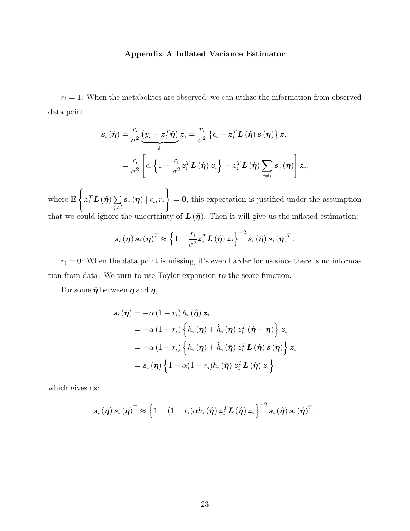## Appendix A Inflated Variance Estimator

<span id="page-29-0"></span> $r_i = 1$ : When the metabolites are observed, we can utilize the information from observed data point.

$$
\begin{aligned} \boldsymbol{s}_{i}\left(\hat{\boldsymbol{\eta}}\right) &=\frac{r_{i}}{\sigma^{2}}\underbrace{\left(y_{i}-\boldsymbol{z}_{i}^{T}\hat{\boldsymbol{\eta}}\right)}_{\hat{\epsilon}_{i}}\boldsymbol{z}_{i}=\frac{r_{i}}{\sigma^{2}}\left\{ \epsilon_{i}-\boldsymbol{z}_{i}^{T}\boldsymbol{L}\left(\tilde{\boldsymbol{\eta}}\right)\boldsymbol{s}\left(\boldsymbol{\eta}\right)\right\} \boldsymbol{z}_{i} \\ &=\frac{r_{i}}{\sigma^{2}}\left[\epsilon_{i}\left\{ 1-\frac{r_{i}}{\sigma^{2}}\boldsymbol{z}_{i}^{T}\boldsymbol{L}\left(\tilde{\boldsymbol{\eta}}\right)\boldsymbol{z}_{i}\right\} -\boldsymbol{z}_{i}^{T}\boldsymbol{L}\left(\tilde{\boldsymbol{\eta}}\right)\sum_{j\neq i}s_{j}\left(\boldsymbol{\eta}\right)\right]\boldsymbol{z}_{i}, \end{aligned}
$$

where E  $\int$  $\boldsymbol{z}_i^T \boldsymbol{L}\left(\tilde{\boldsymbol{\eta}}\right) \sum$  $j\neq i$  $\bm{s}_{j}\left(\bm{\eta}\right) \mid \epsilon_{i}, r_{i}$  $\mathcal{L}$  $= 0$ , this expectation is justified under the assumption that we could ignore the uncertainty of  $\mathbf{L}(\tilde{\boldsymbol{\eta}})$ . Then it will give us the inflated estimation:

$$
\boldsymbol{s}_{i}\left(\boldsymbol{\eta}\right)\boldsymbol{s}_{i}\left(\boldsymbol{\eta}\right)^{T}\approx\left\{ 1-\frac{r_{i}}{\sigma^{2}}\boldsymbol{z}_{i}^{T}\boldsymbol{L}\left(\hat{\boldsymbol{\eta}}\right)\boldsymbol{z}_{i}\right\} ^{-2}\boldsymbol{s}_{i}\left(\hat{\boldsymbol{\eta}}\right)\boldsymbol{s}_{i}\left(\hat{\boldsymbol{\eta}}\right)^{T}.
$$

 $r_i = 0$ : When the data point is missing, it's even harder for us since there is no information from data. We turn to use Taylor expansion to the score function.

For some  $\bar{\eta}$  between  $\eta$  and  $\hat{\eta}$ ,

$$
\begin{aligned} \boldsymbol{s}_{i} \left( \hat{\boldsymbol{\eta}} \right) &= -\alpha \left( 1 - r_{i} \right) h_{i} \left( \hat{\boldsymbol{\eta}} \right) \boldsymbol{z}_{i} \\ &= -\alpha \left( 1 - r_{i} \right) \left\{ h_{i} \left( \boldsymbol{\eta} \right) + \dot{h}_{i} \left( \bar{\boldsymbol{\eta}} \right) \boldsymbol{z}_{i}^{T} \left( \hat{\boldsymbol{\eta}} - \boldsymbol{\eta} \right) \right\} \boldsymbol{z}_{i} \\ &= -\alpha \left( 1 - r_{i} \right) \left\{ h_{i} \left( \boldsymbol{\eta} \right) + \dot{h}_{i} \left( \bar{\boldsymbol{\eta}} \right) \boldsymbol{z}_{i}^{T} \boldsymbol{L} \left( \tilde{\boldsymbol{\eta}} \right) \boldsymbol{s} \left( \boldsymbol{\eta} \right) \right\} \boldsymbol{z}_{i} \\ &= \boldsymbol{s}_{i} \left( \boldsymbol{\eta} \right) \left\{ 1 - \alpha \left( 1 - r_{i} \right) \dot{h}_{i} \left( \bar{\boldsymbol{\eta}} \right) \boldsymbol{z}_{i}^{T} \boldsymbol{L} \left( \tilde{\boldsymbol{\eta}} \right) \boldsymbol{z}_{i} \right\} \end{aligned}
$$

which gives us:

$$
\boldsymbol{s}_{i}(\boldsymbol{\eta})\,\boldsymbol{s}_{i}(\boldsymbol{\eta})^{\top}\approx\left\{1-(1-r_{i})\alpha\dot{h}_{i}(\hat{\boldsymbol{\eta}})\,\boldsymbol{z}_{i}^{T}\boldsymbol{L}\left(\hat{\boldsymbol{\eta}}\right)\boldsymbol{z}_{i}\right\}^{-2}\,\boldsymbol{s}_{i}\left(\hat{\boldsymbol{\eta}}\right)\boldsymbol{s}_{i}\left(\hat{\boldsymbol{\eta}}\right)^{T}.
$$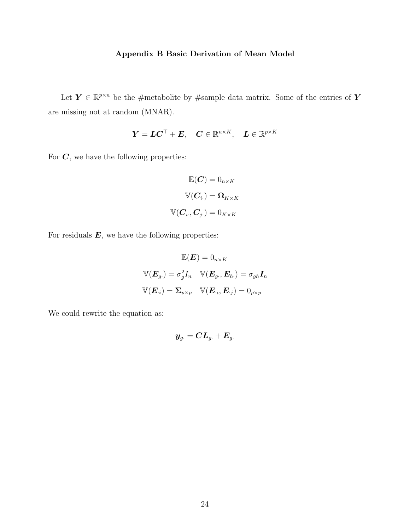# Appendix B Basic Derivation of Mean Model

<span id="page-30-0"></span>Let  $\mathbf{Y} \in \mathbb{R}^{p \times n}$  be the #metabolite by #sample data matrix. Some of the entries of Y are missing not at random (MNAR).

$$
\boldsymbol{Y} = \boldsymbol{L}\boldsymbol{C}^{\top} + \boldsymbol{E}, \quad \boldsymbol{C} \in \mathbb{R}^{n \times K}, \quad \boldsymbol{L} \in \mathbb{R}^{p \times K}
$$

For  $C$ , we have the following properties:

$$
\mathbb{E}(\mathbf{C}) = 0_{n \times K}
$$

$$
\mathbb{V}(\mathbf{C}_{i\cdot}) = \mathbf{\Omega}_{K \times K}
$$

$$
\mathbb{V}(\mathbf{C}_{i\cdot}, \mathbf{C}_{j\cdot}) = 0_{K \times K}
$$

For residuals  $E$ , we have the following properties:

$$
\mathbb{E}(\boldsymbol{E}) = 0_{n \times K}
$$
  

$$
\mathbb{V}(\boldsymbol{E}_g) = \sigma_g^2 I_n \quad \mathbb{V}(\boldsymbol{E}_g, \boldsymbol{E}_h) = \sigma_{gh} \boldsymbol{I}_n
$$
  

$$
\mathbb{V}(\boldsymbol{E}_i) = \boldsymbol{\Sigma}_{p \times p} \quad \mathbb{V}(\boldsymbol{E}_i, \boldsymbol{E}_{\cdot j}) = 0_{p \times p}
$$

We could rewrite the equation as:

$$
\boldsymbol{y}_{g\cdot} = \boldsymbol{C}\boldsymbol{L}_{g\cdot} + \boldsymbol{E}_{g\cdot}
$$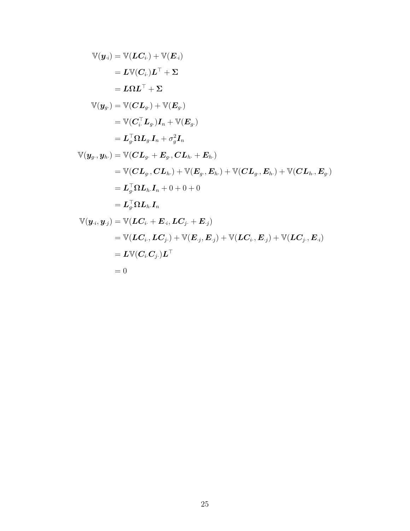$$
\mathbb{V}(\mathbf{y}_{i}) = \mathbb{V}(LC_{i.}) + \mathbb{V}(E_{.i})
$$
\n
$$
= L\mathbb{V}(C_{i.})L^{\top} + \Sigma
$$
\n
$$
= L\Omega L^{\top} + \Sigma
$$
\n
$$
\mathbb{V}(\mathbf{y}_{g.}) = \mathbb{V}(CL_{g.}) + \mathbb{V}(E_{g.})
$$
\n
$$
= \mathbb{V}(C_{i.}^{\top}L_{g.})I_{n} + \mathbb{V}(E_{g.})
$$
\n
$$
= L_{g.}^{\top}\Omega L_{g.}I_{n} + \sigma_{g}^{2}I_{n}
$$
\n
$$
\mathbb{V}(\mathbf{y}_{g.}, \mathbf{y}_{h.}) = \mathbb{V}(CL_{g.} + E_{g.}, CL_{h.} + E_{h.})
$$
\n
$$
= \mathbb{V}(CL_{g.}, CL_{h.}) + \mathbb{V}(E_{g.}, E_{h.}) + \mathbb{V}(CL_{g.}, E_{h.}) + \mathbb{V}(CL_{h.}, E_{g.})
$$
\n
$$
= L_{g.}^{\top}\Omega L_{h.}I_{n} + 0 + 0 + 0
$$
\n
$$
= L_{g.}^{\top}\Omega L_{h.}I_{n}
$$
\n
$$
\mathbb{V}(\mathbf{y}_{i}, \mathbf{y}_{\cdot j}) = \mathbb{V}(LC_{i.} + E_{i.}, LC_{j.} + E_{j})
$$
\n
$$
= \mathbb{V}(LC_{i.}, LC_{j.}) + \mathbb{V}(E_{j.}, E_{\cdot j}) + \mathbb{V}(LC_{i.}, E_{\cdot j}) + \mathbb{V}(LC_{j.}, E_{\cdot i})
$$
\n
$$
= L\mathbb{V}(C_{i.}C_{j.})L^{\top}
$$

$$
= 0
$$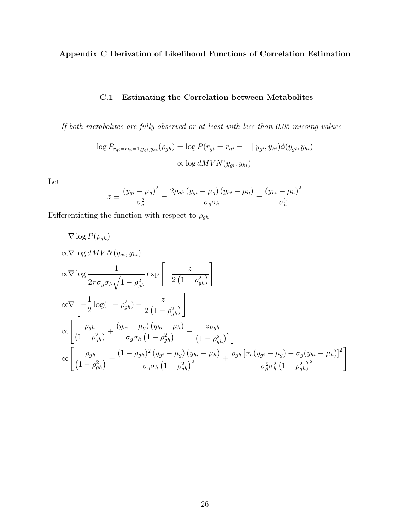<span id="page-32-0"></span>Appendix C Derivation of Likelihood Functions of Correlation Estimation

# C.1 Estimating the Correlation between Metabolites

<span id="page-32-1"></span>If both metabolites are fully observed or at least with less than 0.05 missing values

$$
\log P_{r_{gi} = r_{hi} = 1, y_{gi}, y_{hi}}(\rho_{gh}) = \log P(r_{gi} = r_{hi} = 1 \mid y_{gi}, y_{hi}) \phi(y_{gi}, y_{hi})
$$

$$
\propto \log dMVN(y_{gi}, y_{hi})
$$

Let

$$
z \equiv \frac{\left(y_{gi} - \mu_g\right)^2}{\sigma_g^2} - \frac{2\rho_{gh}\left(y_{gi} - \mu_g\right)\left(y_{hi} - \mu_h\right)}{\sigma_g\sigma_h} + \frac{\left(y_{hi} - \mu_h\right)^2}{\sigma_h^2}
$$

Differentiating the function with respect to  $\rho_{gh}$ 

$$
\nabla \log P(\rho_{gh})
$$
  
\n
$$
\alpha \nabla \log dMVN(y_{gi}, y_{hi})
$$
  
\n
$$
\alpha \nabla \log \frac{1}{2\pi \sigma_g \sigma_h \sqrt{1 - \rho_{gh}^2}} \exp \left[ -\frac{z}{2(1 - \rho_{gh}^2)} \right]
$$
  
\n
$$
\alpha \nabla \left[ -\frac{1}{2} \log(1 - \rho_{gh}^2) - \frac{z}{2(1 - \rho_{gh}^2)} \right]
$$
  
\n
$$
\alpha \left[ \frac{\rho_{gh}}{(1 - \rho_{gh}^2)} + \frac{(y_{gi} - \mu_g)(y_{hi} - \mu_h)}{\sigma_g \sigma_h (1 - \rho_{gh}^2)} - \frac{z\rho_{gh}}{(1 - \rho_{gh}^2)^2} \right]
$$
  
\n
$$
\alpha \left[ \frac{\rho_{gh}}{(1 - \rho_{gh}^2)} + \frac{(1 - \rho_{gh})^2 (y_{gi} - \mu_g)(y_{hi} - \mu_h)}{\sigma_g \sigma_h (1 - \rho_{gh}^2)^2} + \frac{\rho_{gh} [\sigma_h (y_{gi} - \mu_g) - \sigma_g (y_{hi} - \mu_h)]^2}{\sigma_g^2 \sigma_h^2 (1 - \rho_{gh}^2)^2} \right]
$$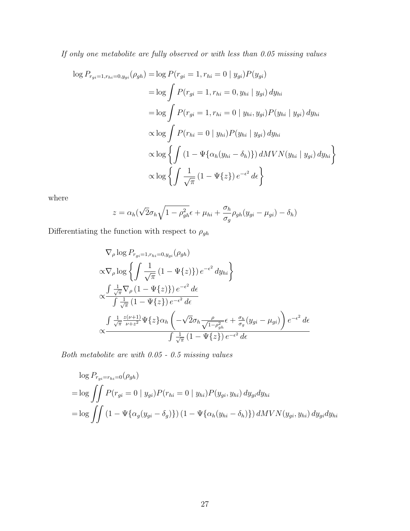If only one metabolite are fully observed or with less than 0.05 missing values

$$
\log P_{r_{gi}=1,r_{hi}=0,y_{gi}}(\rho_{gh}) = \log P(r_{gi}=1,r_{hi}=0 \mid y_{gi})P(y_{gi})
$$
  
\n
$$
= \log \int P(r_{gi}=1,r_{hi}=0,y_{hi} \mid y_{gi}) dy_{hi}
$$
  
\n
$$
= \log \int P(r_{gi}=1,r_{hi}=0 \mid y_{hi},y_{gi})P(y_{hi} \mid y_{gi}) dy_{hi}
$$
  
\n
$$
\propto \log \int P(r_{hi}=0 \mid y_{hi})P(y_{hi} \mid y_{gi}) dy_{hi}
$$
  
\n
$$
\propto \log \left\{ \int (1 - \Psi\{\alpha_h(y_{hi} - \delta_h)\}) dMVN(y_{hi} \mid y_{gi}) dy_{hi} \right\}
$$
  
\n
$$
\propto \log \left\{ \int \frac{1}{\sqrt{\pi}} (1 - \Psi\{z\}) e^{-\epsilon^2} d\epsilon \right\}
$$

where

$$
z = \alpha_h(\sqrt{2}\sigma_h\sqrt{1-\rho_{gh}^2}\epsilon + \mu_{hi} + \frac{\sigma_h}{\sigma_g}\rho_{gh}(y_{gi} - \mu_{gi}) - \delta_h)
$$

Differentiating the function with respect to  $\rho_{gh}$ 

$$
\nabla_{\rho} \log P_{r_{gi}=1, r_{hi}=0, y_{gi}}(\rho_{gh})
$$
\n
$$
\propto \nabla_{\rho} \log \left\{ \int \frac{1}{\sqrt{\pi}} (1 - \Psi\{z\}) e^{-\epsilon^2} dy_{hi} \right\}
$$
\n
$$
\propto \frac{\int \frac{1}{\sqrt{\pi}} \nabla_{\rho} (1 - \Psi\{z\}) e^{-\epsilon^2} d\epsilon}{\int \frac{1}{\sqrt{\pi}} (1 - \Psi\{z\}) e^{-\epsilon^2} d\epsilon}
$$
\n
$$
\int \frac{1}{\sqrt{\pi}} \frac{z(\nu+1)}{\nu+z^2} \Psi\{z\} \alpha_h \left( -\sqrt{2} \sigma_h \frac{\rho}{\sqrt{1 - \rho_{gh}^2}} \epsilon + \frac{\sigma_h}{\sigma_g} (y_{gi} - \mu_{gi}) \right) e^{-\epsilon^2} d\epsilon
$$
\n
$$
\int \frac{1}{\sqrt{\pi}} (1 - \Psi\{z\}) e^{-\epsilon^2} d\epsilon
$$

Both metabolite are with 0.05 - 0.5 missing values

$$
\log P_{r_{gi} = r_{hi} = 0}(\rho_{gh})
$$
  
= 
$$
\log \iint P(r_{gi} = 0 \mid y_{gi}) P(r_{hi} = 0 \mid y_{hi}) P(y_{gi}, y_{hi}) dy_{gi} dy_{hi}
$$
  
= 
$$
\log \iint (1 - \Psi\{\alpha_g(y_{gi} - \delta_g)\}) (1 - \Psi\{\alpha_h(y_{hi} - \delta_h)\}) dMVN(y_{gi}, y_{hi}) dy_{gi} dy_{hi}
$$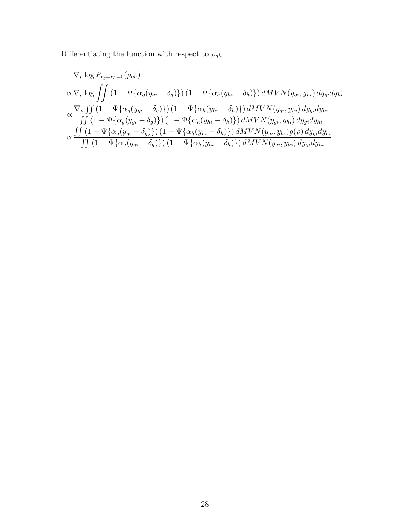Differentiating the function with respect to  $\rho_{gh}$ 

$$
\nabla_{\rho} \log P_{r_g = r_h = 0}(\rho_{gh})
$$
\n
$$
\alpha \nabla_{\rho} \log \iint (1 - \Psi \{\alpha_g(y_{gi} - \delta_g)\}) (1 - \Psi \{\alpha_h(y_{hi} - \delta_h)\}) dMVN(y_{gi}, y_{hi}) dy_{gi} dy_{hi}
$$
\n
$$
\alpha \frac{\nabla_{\rho} \iint (1 - \Psi \{\alpha_g(y_{gi} - \delta_g)\}) (1 - \Psi \{\alpha_h(y_{hi} - \delta_h)\}) dMVN(y_{gi}, y_{hi}) dy_{gi} dy_{hi}}{\iint (1 - \Psi \{\alpha_g(y_{gi} - \delta_g)\}) (1 - \Psi \{\alpha_h(y_{hi} - \delta_h)\}) dMVN(y_{gi}, y_{hi}) dy_{gi} dy_{hi}}
$$
\n
$$
\alpha \frac{\iint (1 - \Psi \{\alpha_g(y_{gi} - \delta_g)\}) (1 - \Psi \{\alpha_h(y_{hi} - \delta_h)\}) dMVN(y_{gi}, y_{hi}) g(\rho) dy_{gi} dy_{hi}}{\iint (1 - \Psi \{\alpha_g(y_{gi} - \delta_g)\}) (1 - \Psi \{\alpha_h(y_{hi} - \delta_h)\}) dMVN(y_{gi}, y_{hi}) dy_{gi} dy_{hi}}
$$